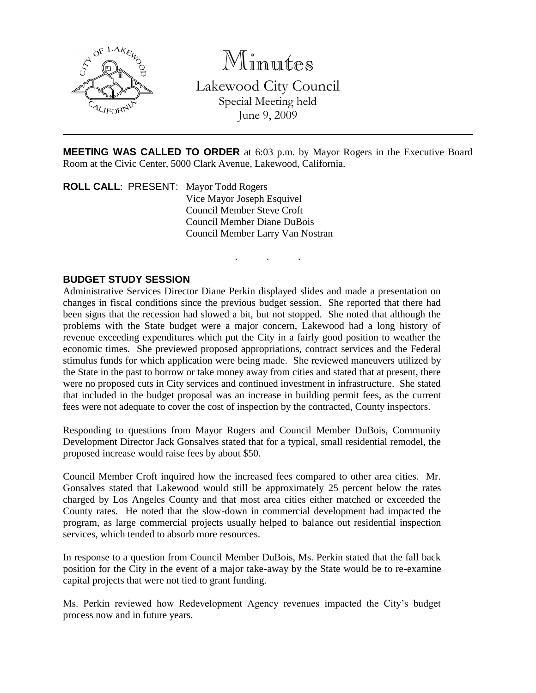

Minutes

Lakewood City Council Special Meeting held June 9, 2009

**MEETING WAS CALLED TO ORDER** at 6:03 p.m. by Mayor Rogers in the Executive Board Room at the Civic Center, 5000 Clark Avenue, Lakewood, California.

. . .

**ROLL CALL**: PRESENT: Mayor Todd Rogers Vice Mayor Joseph Esquivel Council Member Steve Croft Council Member Diane DuBois Council Member Larry Van Nostran

## **BUDGET STUDY SESSION**

Administrative Services Director Diane Perkin displayed slides and made a presentation on changes in fiscal conditions since the previous budget session. She reported that there had been signs that the recession had slowed a bit, but not stopped. She noted that although the problems with the State budget were a major concern, Lakewood had a long history of revenue exceeding expenditures which put the City in a fairly good position to weather the economic times. She previewed proposed appropriations, contract services and the Federal stimulus funds for which application were being made. She reviewed maneuvers utilized by the State in the past to borrow or take money away from cities and stated that at present, there were no proposed cuts in City services and continued investment in infrastructure. She stated that included in the budget proposal was an increase in building permit fees, as the current fees were not adequate to cover the cost of inspection by the contracted, County inspectors.

Responding to questions from Mayor Rogers and Council Member DuBois, Community Development Director Jack Gonsalves stated that for a typical, small residential remodel, the proposed increase would raise fees by about \$50.

Council Member Croft inquired how the increased fees compared to other area cities. Mr. Gonsalves stated that Lakewood would still be approximately 25 percent below the rates charged by Los Angeles County and that most area cities either matched or exceeded the County rates. He noted that the slow-down in commercial development had impacted the program, as large commercial projects usually helped to balance out residential inspection services, which tended to absorb more resources.

In response to a question from Council Member DuBois, Ms. Perkin stated that the fall back position for the City in the event of a major take-away by the State would be to re-examine capital projects that were not tied to grant funding.

Ms. Perkin reviewed how Redevelopment Agency revenues impacted the City's budget process now and in future years.